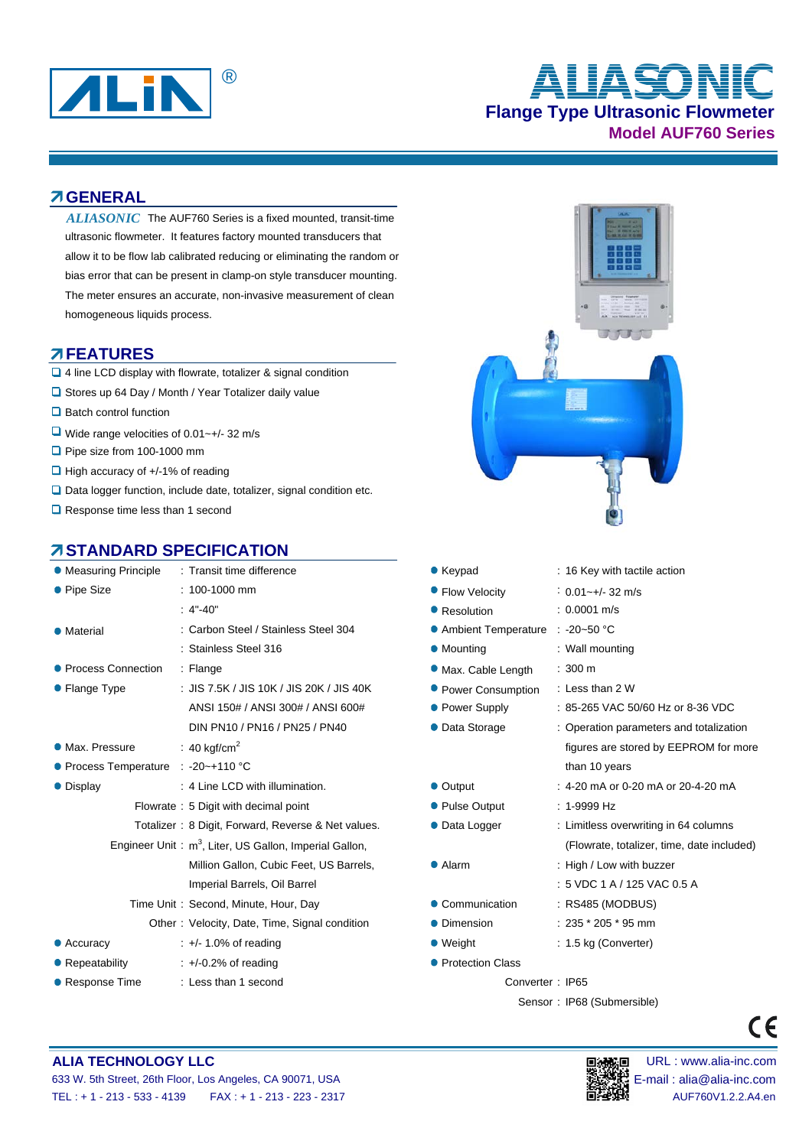

# **Flange Type Ultrasonic Flowmeter Model AUF760 Series** ® **ALIASONIC**

#### **GENERAL**

ALIASONIC The AUF760 Series is a fixed mounted, transit-time ultrasonic flowmeter. It features factory mounted transducers that allow it to be flow lab calibrated reducing or eliminating the random or bias error that can be present in clamp-on style transducer mounting. The meter ensures an accurate, non-invasive measurement of clean homogeneous liquids process.

#### **FEATURES**

- □ 4 line LCD display with flowrate, totalizer & signal condition
- □ Stores up 64 Day / Month / Year Totalizer daily value
- Batch control function
- $\Box$  Wide range velocities of 0.01~+/- 32 m/s
- Pipe size from 100-1000 mm
- $\Box$  High accuracy of  $+/-1\%$  of reading
- $\Box$  Data logger function, include date, totalizer, signal condition etc.
- Response time less than 1 second

## **STANDARD SPECIFICATION**

|                                                                    | • Measuring Principle : Transit time difference    |  |  |  |  |
|--------------------------------------------------------------------|----------------------------------------------------|--|--|--|--|
| • Pipe Size                                                        | $: 100 - 1000$ mm                                  |  |  |  |  |
|                                                                    | $: 4" - 40"$                                       |  |  |  |  |
| Material                                                           | : Carbon Steel / Stainless Steel 304               |  |  |  |  |
|                                                                    | : Stainless Steel 316                              |  |  |  |  |
| ● Process Connection                                               | : Flange                                           |  |  |  |  |
| • Flange Type                                                      | : JIS 7.5K / JIS 10K / JIS 20K / JIS 40K           |  |  |  |  |
|                                                                    | ANSI 150# / ANSI 300# / ANSI 600#                  |  |  |  |  |
|                                                                    | DIN PN10 / PN16 / PN25 / PN40                      |  |  |  |  |
| • Max. Pressure                                                    | : 40 kgf/cm <sup>2</sup>                           |  |  |  |  |
| ● Process Temperature : -20~+110 °C                                |                                                    |  |  |  |  |
| • Display                                                          | : 4 Line LCD with illumination.                    |  |  |  |  |
|                                                                    | Flowrate: 5 Digit with decimal point               |  |  |  |  |
|                                                                    | Totalizer: 8 Digit, Forward, Reverse & Net values. |  |  |  |  |
| Engineer Unit: m <sup>3</sup> , Liter, US Gallon, Imperial Gallon, |                                                    |  |  |  |  |
|                                                                    | Million Gallon, Cubic Feet, US Barrels,            |  |  |  |  |
|                                                                    | Imperial Barrels, Oil Barrel                       |  |  |  |  |
|                                                                    | Time Unit: Second, Minute, Hour, Day               |  |  |  |  |
|                                                                    | Other: Velocity, Date, Time, Signal condition      |  |  |  |  |
| Accuracy                                                           | $\div$ +/- 1.0% of reading                         |  |  |  |  |
| • Repeatability                                                    | $\div$ +/-0.2% of reading                          |  |  |  |  |
| ● Response Time                                                    | : Less than 1 second                               |  |  |  |  |



- Keypad : 16 Key with tactile action  $\bullet$  Flow Velocity : 0.01~+/-32 m/s • Resolution : 0.0001 m/s
- Ambient Temperature : -20~50 °C
- Mounting : Wall mounting
- Max. Cable Length : 300 m
- **Power Consumption : Less than 2 W**
- Power Supply : 85-265 VAC 50/60 Hz or 8-36 VDC
- Data Storage : Operation parameters and totalization
- Output : 4-20 mA or 0-20 mA or 20-4-20 mA
- Pulse Output : 1-9999 Hz
- Data Logger : Limitless overwriting in 64 columns
- 
- Alarm : High / Low with buzzer
- Communication : RS485 (MODBUS)
- $\bullet$  Dimension : 235  $*$  205  $*$  95 mm
- Weight : 1.5 kg (Converter)
- 
- **Protection Class**

Converter : IP65

Sensor : IP68 (Submersible)

than 10 years



 $\epsilon$ 

figures are stored by EEPROM for more

(Flowrate, totalizer, time, date included)

: 5 VDC 1 A / 125 VAC 0.5 A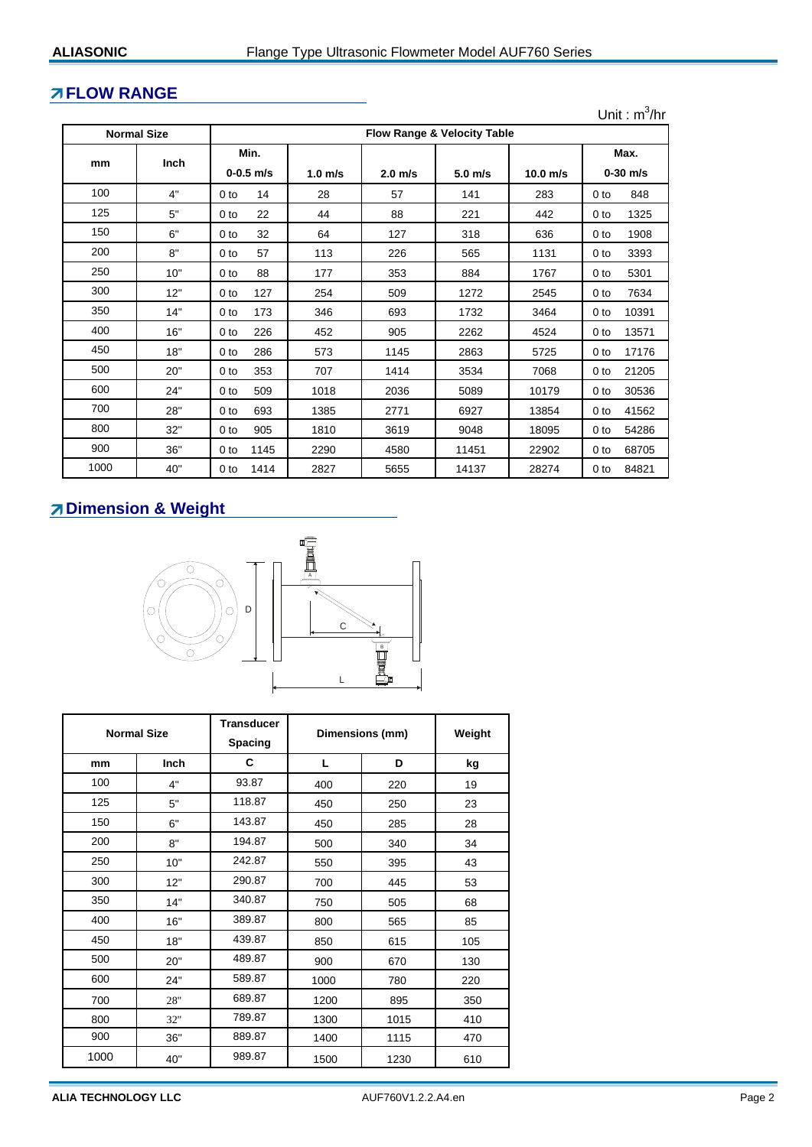#### **FLOW RANGE**

**Normal Size**

**mm Inch**

0-0.5 m/s | 1.0 m/s | 2.0 m/s | 5.0 m/s | 10.0 m/s | 0-30 m/s 100 4" 0 to 14 28 57 141 283 0 to 848 125 | 5" | 0 to 22 | 44 | 88 | 221 | 442 | 0 to 1325 150 6" 0 to 32 64 127 318 636 0 to 1908 200 | 8" | 0 to 57 | 113 | 226 | 565 | 1131 | 0 to 3393 250 | 10" | 0 to 88 | 177 | 353 | 884 | 1767 | 0 to 5301 300 12" 0 to 127 254 509 1272 2545 0 to 7634 350 14" 0 to 173 346 693 1732 3464 0 to 10391 Unit :  $m^3/hr$ **Flow Range & Velocity Table Min. Max.**

 16" 0 to 226 452 905 2262 4524 0 to 13571 18" 0 to 286 573 1145 2863 5725 0 to 17176 20" 0 to 353 707 1414 3534 7068 0 to 21205 24" 0 to 509 1018 2036 5089 10179 0 to 30536 28'' 0 to 693 1385 2771 6927 13854 0 to 41562 32'' 0 to 905 1810 3619 9048 18095 0 to 54286 36'' 0 to 1145 2290 4580 11451 22902 0 to 68705 40'' 0 to 1414 2827 5655 14137 28274 0 to 84821

#### **Dimension & Weight**



| <b>Normal Size</b> |             | Transducer<br><b>Spacing</b> | Dimensions (mm) | Weight |     |
|--------------------|-------------|------------------------------|-----------------|--------|-----|
| mm                 | <b>Inch</b> | C                            | L               | D      | kg  |
| 100                | 4"          | 93.87                        | 400             | 220    | 19  |
| 125                | 5"          | 118.87                       | 450             | 250    | 23  |
| 150                | 6"          | 143.87                       | 450             | 285    | 28  |
| 200                | 8"          | 194.87                       | 500             | 340    | 34  |
| 250                | 10"         | 242.87                       | 550             | 395    | 43  |
| 300                | 12"         | 290.87                       | 700             | 445    | 53  |
| 350                | 14"         | 340.87                       | 750             | 505    | 68  |
| 400                | 16"         | 389.87                       | 800             | 565    | 85  |
| 450                | 18"         | 439.87                       | 850             | 615    | 105 |
| 500                | 20"         | 489.87                       | 900             | 670    | 130 |
| 600                | 24"         | 589.87                       | 1000            | 780    | 220 |
| 700                | 28"         | 689.87                       | 1200            | 895    | 350 |
| 800                | 32"         | 789.87                       | 1300            | 1015   | 410 |
| 900                | 36"         | 889.87                       | 1400            | 1115   | 470 |
| 1000               | 40"         | 989.87                       | 1500            | 1230   | 610 |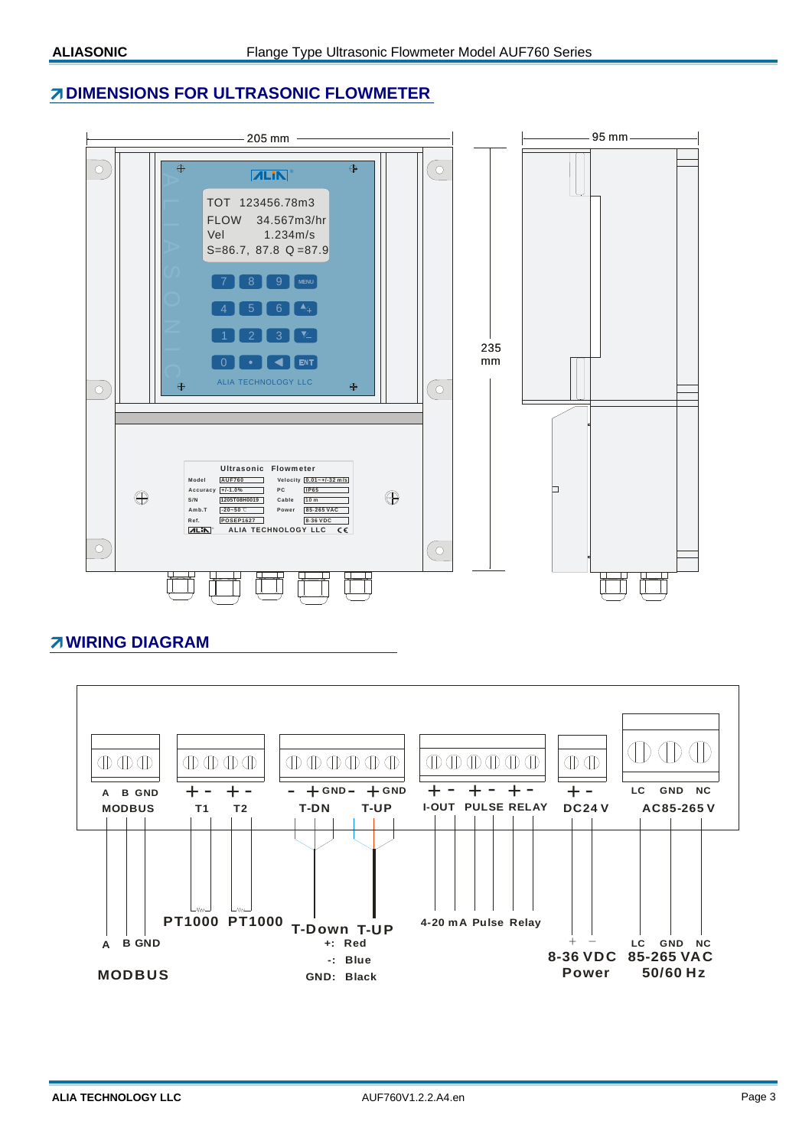## *A* **DIMENSIONS FOR ULTRASONIC FLOWMETER**



## **WIRING DIAGRAM**